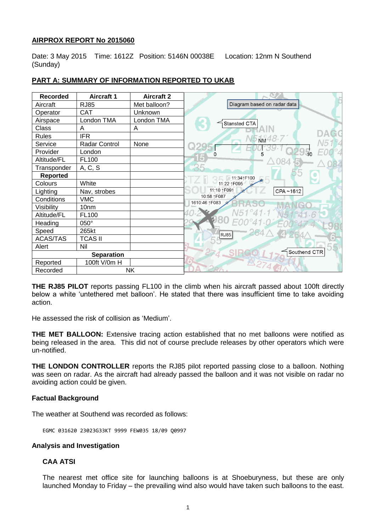## **AIRPROX REPORT No 2015060**

Date: 3 May 2015 Time: 1612Z Position: 5146N 00038E Location: 12nm N Southend (Sunday)

| <b>Recorded</b>   | <b>Aircraft 1</b> | <b>Aircraft 2</b> |                              |
|-------------------|-------------------|-------------------|------------------------------|
| Aircraft          | <b>RJ85</b>       | Met balloon?      | Diagram based on radar data  |
| Operator          | <b>CAT</b>        | Unknown           |                              |
| Airspace          | London TMA        | London TMA        | Stansted CTA                 |
| Class             | A                 | A                 |                              |
| <b>Rules</b>      | <b>IFR</b>        |                   | NM48.7                       |
| Service           | Radar Control     | None              |                              |
| Provider          | London            |                   | 5                            |
| Altitude/FL       | FL100             |                   |                              |
| Transponder       | A, C, S           |                   |                              |
| <b>Reported</b>   |                   |                   | 11:341F100                   |
| Colours           | White             |                   | 11:22 1F095                  |
| Lighting          | Nav, strobes      |                   | 11:10 1F091<br>CPA~1612      |
| Conditions        | <b>VMC</b>        |                   | 10:58 1F087<br>1610:46 1F083 |
| Visibility        | 10 <sub>nm</sub>  |                   |                              |
| Altitude/FL       | <b>FL100</b>      |                   | $\sqrt{51}$ 41.1             |
| Heading           | 050°              |                   |                              |
| Speed             | 265kt             |                   | RJ85                         |
| <b>ACAS/TAS</b>   | <b>TCAS II</b>    |                   |                              |
| Alert             | Nil               |                   |                              |
| <b>Separation</b> |                   |                   | Southend CTR                 |
| Reported          | 100ft V/0m H      |                   | $274 \, \text{A}$            |
| Recorded          | <b>NK</b>         |                   |                              |

# **PART A: SUMMARY OF INFORMATION REPORTED TO UKAB**

**THE RJ85 PILOT** reports passing FL100 in the climb when his aircraft passed about 100ft directly below a white 'untethered met balloon'. He stated that there was insufficient time to take avoiding action.

He assessed the risk of collision as 'Medium'.

**THE MET BALLOON:** Extensive tracing action established that no met balloons were notified as being released in the area. This did not of course preclude releases by other operators which were un-notified.

**THE LONDON CONTROLLER** reports the RJ85 pilot reported passing close to a balloon. Nothing was seen on radar. As the aircraft had already passed the balloon and it was not visible on radar no avoiding action could be given.

## **Factual Background**

The weather at Southend was recorded as follows:

EGMC 031620 23023G33KT 9999 FEW035 18/09 Q0997

# **Analysis and Investigation**

# **CAA ATSI**

The nearest met office site for launching balloons is at Shoeburyness, but these are only launched Monday to Friday – the prevailing wind also would have taken such balloons to the east.